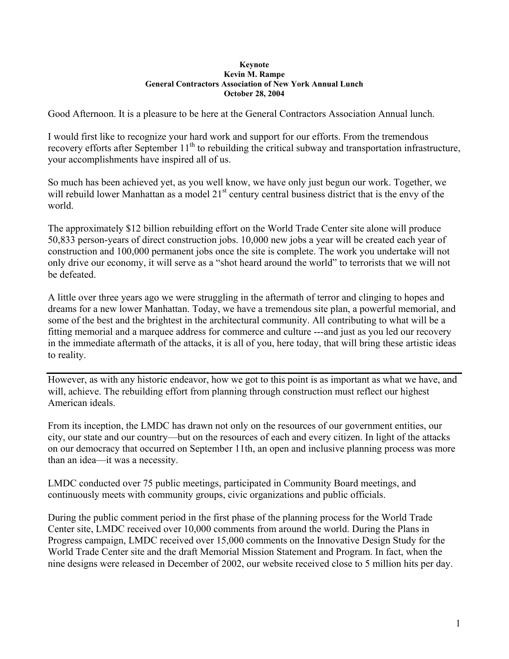## **Keynote Kevin M. Rampe General Contractors Association of New York Annual Lunch October 28, 2004**

Good Afternoon. It is a pleasure to be here at the General Contractors Association Annual lunch.

I would first like to recognize your hard work and support for our efforts. From the tremendous recovery efforts after September  $11<sup>th</sup>$  to rebuilding the critical subway and transportation infrastructure, your accomplishments have inspired all of us.

So much has been achieved yet, as you well know, we have only just begun our work. Together, we will rebuild lower Manhattan as a model 21<sup>st</sup> century central business district that is the envy of the world.

The approximately \$12 billion rebuilding effort on the World Trade Center site alone will produce 50,833 person-years of direct construction jobs. 10,000 new jobs a year will be created each year of construction and 100,000 permanent jobs once the site is complete. The work you undertake will not only drive our economy, it will serve as a "shot heard around the world" to terrorists that we will not be defeated.

A little over three years ago we were struggling in the aftermath of terror and clinging to hopes and dreams for a new lower Manhattan. Today, we have a tremendous site plan, a powerful memorial, and some of the best and the brightest in the architectural community. All contributing to what will be a fitting memorial and a marquee address for commerce and culture ---and just as you led our recovery in the immediate aftermath of the attacks, it is all of you, here today, that will bring these artistic ideas to reality.

However, as with any historic endeavor, how we got to this point is as important as what we have, and will, achieve. The rebuilding effort from planning through construction must reflect our highest American ideals.

From its inception, the LMDC has drawn not only on the resources of our government entities, our city, our state and our country—but on the resources of each and every citizen. In light of the attacks on our democracy that occurred on September 11th, an open and inclusive planning process was more than an idea—it was a necessity.

LMDC conducted over 75 public meetings, participated in Community Board meetings, and continuously meets with community groups, civic organizations and public officials.

During the public comment period in the first phase of the planning process for the World Trade Center site, LMDC received over 10,000 comments from around the world. During the Plans in Progress campaign, LMDC received over 15,000 comments on the Innovative Design Study for the World Trade Center site and the draft Memorial Mission Statement and Program. In fact, when the nine designs were released in December of 2002, our website received close to 5 million hits per day.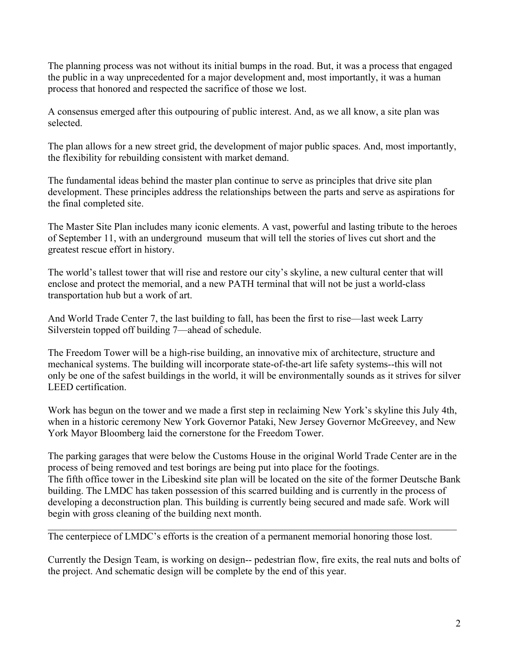The planning process was not without its initial bumps in the road. But, it was a process that engaged the public in a way unprecedented for a major development and, most importantly, it was a human process that honored and respected the sacrifice of those we lost.

A consensus emerged after this outpouring of public interest. And, as we all know, a site plan was selected.

The plan allows for a new street grid, the development of major public spaces. And, most importantly, the flexibility for rebuilding consistent with market demand.

The fundamental ideas behind the master plan continue to serve as principles that drive site plan development. These principles address the relationships between the parts and serve as aspirations for the final completed site.

The Master Site Plan includes many iconic elements. A vast, powerful and lasting tribute to the heroes of September 11, with an underground museum that will tell the stories of lives cut short and the greatest rescue effort in history.

The world's tallest tower that will rise and restore our city's skyline, a new cultural center that will enclose and protect the memorial, and a new PATH terminal that will not be just a world-class transportation hub but a work of art.

And World Trade Center 7, the last building to fall, has been the first to rise—last week Larry Silverstein topped off building 7—ahead of schedule.

The Freedom Tower will be a high-rise building, an innovative mix of architecture, structure and mechanical systems. The building will incorporate state-of-the-art life safety systems--this will not only be one of the safest buildings in the world, it will be environmentally sounds as it strives for silver LEED certification.

Work has begun on the tower and we made a first step in reclaiming New York's skyline this July 4th, when in a historic ceremony New York Governor Pataki, New Jersey Governor McGreevey, and New York Mayor Bloomberg laid the cornerstone for the Freedom Tower.

The parking garages that were below the Customs House in the original World Trade Center are in the process of being removed and test borings are being put into place for the footings. The fifth office tower in the Libeskind site plan will be located on the site of the former Deutsche Bank building. The LMDC has taken possession of this scarred building and is currently in the process of developing a deconstruction plan. This building is currently being secured and made safe. Work will begin with gross cleaning of the building next month.

The centerpiece of LMDC's efforts is the creation of a permanent memorial honoring those lost.

Currently the Design Team, is working on design-- pedestrian flow, fire exits, the real nuts and bolts of the project. And schematic design will be complete by the end of this year.

 $\_$  , and the contribution of the contribution of the contribution of the contribution of  $\mathcal{L}_\text{max}$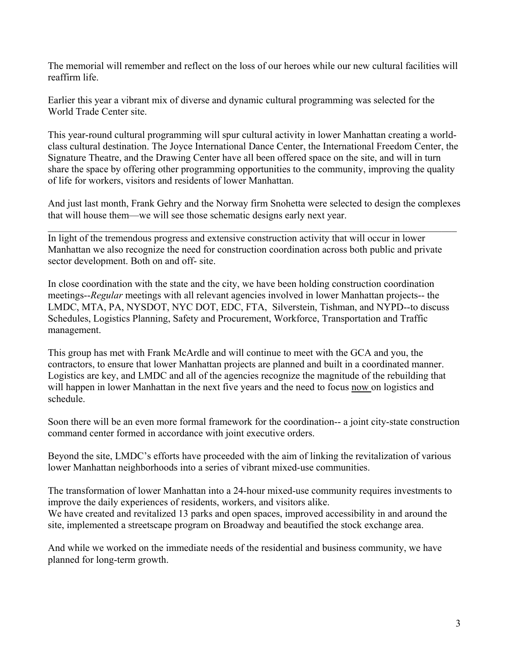The memorial will remember and reflect on the loss of our heroes while our new cultural facilities will reaffirm life.

Earlier this year a vibrant mix of diverse and dynamic cultural programming was selected for the World Trade Center site.

This year-round cultural programming will spur cultural activity in lower Manhattan creating a worldclass cultural destination. The Joyce International Dance Center, the International Freedom Center, the Signature Theatre, and the Drawing Center have all been offered space on the site, and will in turn share the space by offering other programming opportunities to the community, improving the quality of life for workers, visitors and residents of lower Manhattan.

And just last month, Frank Gehry and the Norway firm Snohetta were selected to design the complexes that will house them—we will see those schematic designs early next year.

 $\mathcal{L}_\mathcal{L} = \{ \mathcal{L}_\mathcal{L} = \{ \mathcal{L}_\mathcal{L} = \{ \mathcal{L}_\mathcal{L} = \{ \mathcal{L}_\mathcal{L} = \{ \mathcal{L}_\mathcal{L} = \{ \mathcal{L}_\mathcal{L} = \{ \mathcal{L}_\mathcal{L} = \{ \mathcal{L}_\mathcal{L} = \{ \mathcal{L}_\mathcal{L} = \{ \mathcal{L}_\mathcal{L} = \{ \mathcal{L}_\mathcal{L} = \{ \mathcal{L}_\mathcal{L} = \{ \mathcal{L}_\mathcal{L} = \{ \mathcal{L}_\mathcal{$ 

In light of the tremendous progress and extensive construction activity that will occur in lower Manhattan we also recognize the need for construction coordination across both public and private sector development. Both on and off- site.

In close coordination with the state and the city, we have been holding construction coordination meetings--*Regular* meetings with all relevant agencies involved in lower Manhattan projects-- the LMDC, MTA, PA, NYSDOT, NYC DOT, EDC, FTA, Silverstein, Tishman, and NYPD--to discuss Schedules, Logistics Planning, Safety and Procurement, Workforce, Transportation and Traffic management.

This group has met with Frank McArdle and will continue to meet with the GCA and you, the contractors, to ensure that lower Manhattan projects are planned and built in a coordinated manner. Logistics are key, and LMDC and all of the agencies recognize the magnitude of the rebuilding that will happen in lower Manhattan in the next five years and the need to focus now on logistics and schedule.

Soon there will be an even more formal framework for the coordination-- a joint city-state construction command center formed in accordance with joint executive orders.

Beyond the site, LMDC's efforts have proceeded with the aim of linking the revitalization of various lower Manhattan neighborhoods into a series of vibrant mixed-use communities.

The transformation of lower Manhattan into a 24-hour mixed-use community requires investments to improve the daily experiences of residents, workers, and visitors alike. We have created and revitalized 13 parks and open spaces, improved accessibility in and around the

site, implemented a streetscape program on Broadway and beautified the stock exchange area.

And while we worked on the immediate needs of the residential and business community, we have planned for long-term growth.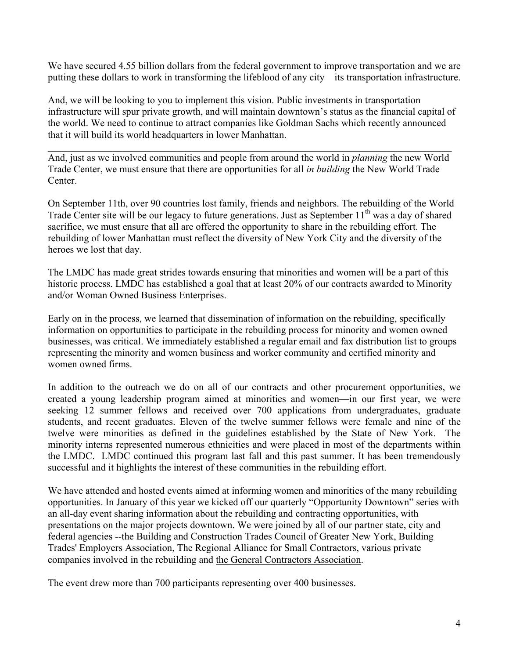We have secured 4.55 billion dollars from the federal government to improve transportation and we are putting these dollars to work in transforming the lifeblood of any city—its transportation infrastructure.

And, we will be looking to you to implement this vision. Public investments in transportation infrastructure will spur private growth, and will maintain downtown's status as the financial capital of the world. We need to continue to attract companies like Goldman Sachs which recently announced that it will build its world headquarters in lower Manhattan.

And, just as we involved communities and people from around the world in *planning* the new World Trade Center, we must ensure that there are opportunities for all *in building* the New World Trade Center.

 $\_$  , and the contribution of the contribution of the contribution of the contribution of  $\mathcal{L}_\text{max}$ 

On September 11th, over 90 countries lost family, friends and neighbors. The rebuilding of the World Trade Center site will be our legacy to future generations. Just as September  $11<sup>th</sup>$  was a day of shared sacrifice, we must ensure that all are offered the opportunity to share in the rebuilding effort. The rebuilding of lower Manhattan must reflect the diversity of New York City and the diversity of the heroes we lost that day.

The LMDC has made great strides towards ensuring that minorities and women will be a part of this historic process. LMDC has established a goal that at least 20% of our contracts awarded to Minority and/or Woman Owned Business Enterprises.

Early on in the process, we learned that dissemination of information on the rebuilding, specifically information on opportunities to participate in the rebuilding process for minority and women owned businesses, was critical. We immediately established a regular email and fax distribution list to groups representing the minority and women business and worker community and certified minority and women owned firms.

In addition to the outreach we do on all of our contracts and other procurement opportunities, we created a young leadership program aimed at minorities and women—in our first year, we were seeking 12 summer fellows and received over 700 applications from undergraduates, graduate students, and recent graduates. Eleven of the twelve summer fellows were female and nine of the twelve were minorities as defined in the guidelines established by the State of New York. The minority interns represented numerous ethnicities and were placed in most of the departments within the LMDC. LMDC continued this program last fall and this past summer. It has been tremendously successful and it highlights the interest of these communities in the rebuilding effort.

We have attended and hosted events aimed at informing women and minorities of the many rebuilding opportunities. In January of this year we kicked off our quarterly "Opportunity Downtown" series with an all-day event sharing information about the rebuilding and contracting opportunities, with presentations on the major projects downtown. We were joined by all of our partner state, city and federal agencies --the Building and Construction Trades Council of Greater New York, Building Trades' Employers Association, The Regional Alliance for Small Contractors, various private companies involved in the rebuilding and the General Contractors Association.

The event drew more than 700 participants representing over 400 businesses.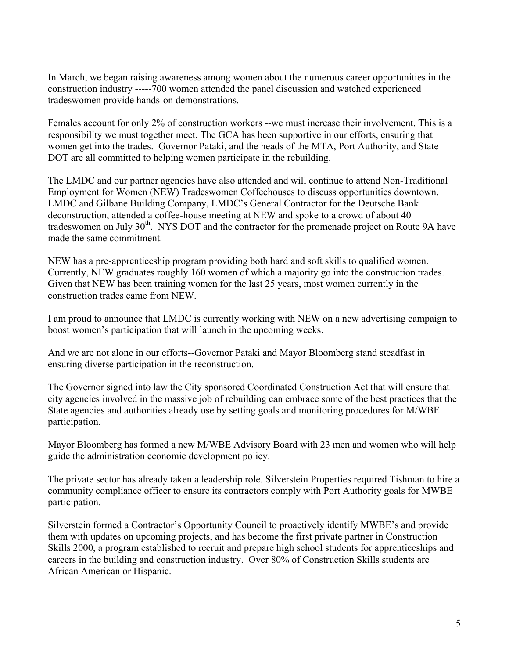In March, we began raising awareness among women about the numerous career opportunities in the construction industry -----700 women attended the panel discussion and watched experienced tradeswomen provide hands-on demonstrations.

Females account for only 2% of construction workers --we must increase their involvement. This is a responsibility we must together meet. The GCA has been supportive in our efforts, ensuring that women get into the trades. Governor Pataki, and the heads of the MTA, Port Authority, and State DOT are all committed to helping women participate in the rebuilding.

The LMDC and our partner agencies have also attended and will continue to attend Non-Traditional Employment for Women (NEW) Tradeswomen Coffeehouses to discuss opportunities downtown. LMDC and Gilbane Building Company, LMDC's General Contractor for the Deutsche Bank deconstruction, attended a coffee-house meeting at NEW and spoke to a crowd of about 40 tradeswomen on July 30<sup>th</sup>. NYS DOT and the contractor for the promenade project on Route 9A have made the same commitment.

NEW has a pre-apprenticeship program providing both hard and soft skills to qualified women. Currently, NEW graduates roughly 160 women of which a majority go into the construction trades. Given that NEW has been training women for the last 25 years, most women currently in the construction trades came from NEW.

I am proud to announce that LMDC is currently working with NEW on a new advertising campaign to boost women's participation that will launch in the upcoming weeks.

And we are not alone in our efforts--Governor Pataki and Mayor Bloomberg stand steadfast in ensuring diverse participation in the reconstruction.

The Governor signed into law the City sponsored Coordinated Construction Act that will ensure that city agencies involved in the massive job of rebuilding can embrace some of the best practices that the State agencies and authorities already use by setting goals and monitoring procedures for M/WBE participation.

Mayor Bloomberg has formed a new M/WBE Advisory Board with 23 men and women who will help guide the administration economic development policy.

The private sector has already taken a leadership role. Silverstein Properties required Tishman to hire a community compliance officer to ensure its contractors comply with Port Authority goals for MWBE participation.

Silverstein formed a Contractor's Opportunity Council to proactively identify MWBE's and provide them with updates on upcoming projects, and has become the first private partner in Construction Skills 2000, a program established to recruit and prepare high school students for apprenticeships and careers in the building and construction industry. Over 80% of Construction Skills students are African American or Hispanic.